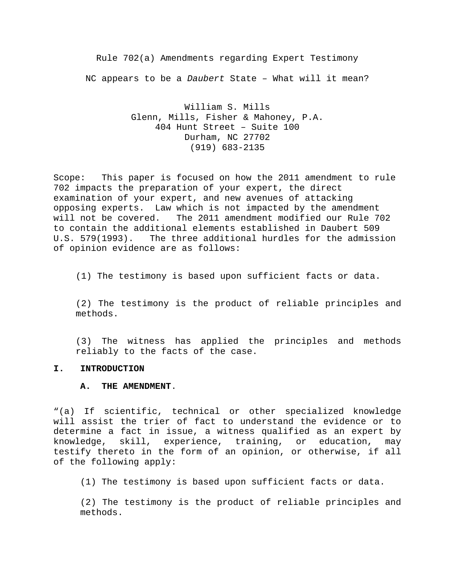Rule 702(a) Amendments regarding Expert Testimony NC appears to be a *Daubert* State – What will it mean?

> William S. Mills Glenn, Mills, Fisher & Mahoney, P.A. 404 Hunt Street – Suite 100 Durham, NC 27702 (919) 683-2135

Scope: This paper is focused on how the 2011 amendment to rule 702 impacts the preparation of your expert, the direct examination of your expert, and new avenues of attacking opposing experts. Law which is not impacted by the amendment will not be covered. The 2011 amendment modified our Rule 702 to contain the additional elements established in Daubert 509<br>U.S. 579(1993). The three additional hurdles for the admiss The three additional hurdles for the admission of opinion evidence are as follows:

(1) The testimony is based upon sufficient facts or data.

(2) The testimony is the product of reliable principles and methods.

(3) The witness has applied the principles and methods reliably to the facts of the case.

### **I. INTRODUCTION**

#### **A. THE AMENDMENT**.

"(a) If scientific, technical or other specialized knowledge will assist the trier of fact to understand the evidence or to determine a fact in issue, a witness qualified as an expert by knowledge, skill, experience, training, or education, may testify thereto in the form of an opinion, or otherwise, if all of the following apply:

(1) The testimony is based upon sufficient facts or data.

(2) The testimony is the product of reliable principles and methods.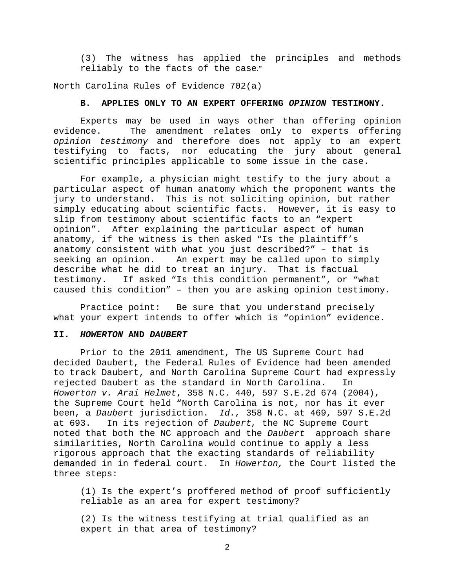(3) The witness has applied the principles and methods reliably to the facts of the case."

North Carolina Rules of Evidence 702(a)

### **B. APPLIES ONLY TO AN EXPERT OFFERING** *OPINION* **TESTIMONY.**

Experts may be used in ways other than offering opinion<br>evidence. The amendment relates only to experts offering The amendment relates only to experts offering *opinion testimony* and therefore does not apply to an expert testifying to facts, nor educating the jury about general scientific principles applicable to some issue in the case.

For example, a physician might testify to the jury about a particular aspect of human anatomy which the proponent wants the jury to understand. This is not soliciting opinion, but rather simply educating about scientific facts. However, it is easy to slip from testimony about scientific facts to an "expert opinion". After explaining the particular aspect of human anatomy, if the witness is then asked "Is the plaintiff's anatomy consistent with what you just described?" – that is An expert may be called upon to simply describe what he did to treat an injury. That is factual testimony. If asked "Is this condition permanent", or "what caused this condition" – then you are asking opinion testimony.

Practice point: Be sure that you understand precisely what your expert intends to offer which is "opinion" evidence.

### **II.** *HOWERTON* **AND** *DAUBERT*

Prior to the 2011 amendment, The US Supreme Court had decided Daubert, the Federal Rules of Evidence had been amended to track Daubert, and North Carolina Supreme Court had expressly rejected Daubert as the standard in North Carolina. In *Howerton v. Arai Helmet*, 358 N.C. 440, 597 S.E.2d 674 (2004), the Supreme Court held "North Carolina is not, nor has it ever been, a *Daubert* jurisdiction. *Id.,* 358 N.C. at 469, 597 S.E.2d at 693. In its rejection of *Daubert,* the NC Supreme Court noted that both the NC approach and the *Daubert* approach share similarities, North Carolina would continue to apply a less rigorous approach that the exacting standards of reliability demanded in in federal court. In *Howerton,* the Court listed the three steps:

(1) Is the expert's proffered method of proof sufficiently reliable as an area for expert testimony?

(2) Is the witness testifying at trial qualified as an expert in that area of testimony?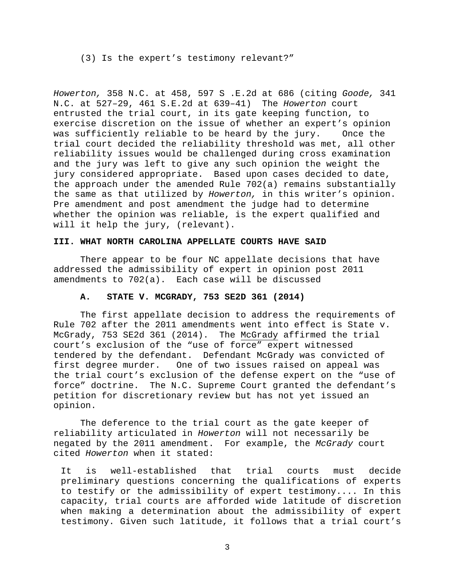(3) Is the expert's testimony relevant?"

*Howerton,* [358 N.C. at 458, 597 S .E.2d at 686](http://www.westlaw.com/Link/Document/FullText?findType=Y&serNum=2004630713&pubNum=0000711&originatingDoc=Idd0232bf514511e5a807ad48145ed9f1&refType=RP&fi=co_pp_sp_711_686&originationContext=document&vr=3.0&rs=cblt1.0&transitionType=DocumentItem&contextData=(sc.Keycite)#co_pp_sp_711_686) (citing *[Goode,](http://www.westlaw.com/Link/Document/FullText?findType=Y&serNum=1995185695&pubNum=0000711&originatingDoc=Idd0232bf514511e5a807ad48145ed9f1&refType=RP&fi=co_pp_sp_711_639&originationContext=document&vr=3.0&rs=cblt1.0&transitionType=DocumentItem&contextData=(sc.Keycite)#co_pp_sp_711_639)* 341 [N.C. at 527–29, 461 S.E.2d at 639–41\)](http://www.westlaw.com/Link/Document/FullText?findType=Y&serNum=1995185695&pubNum=0000711&originatingDoc=Idd0232bf514511e5a807ad48145ed9f1&refType=RP&fi=co_pp_sp_711_639&originationContext=document&vr=3.0&rs=cblt1.0&transitionType=DocumentItem&contextData=(sc.Keycite)#co_pp_sp_711_639) The *Howerton* court entrusted the trial court, in its gate keeping function, to exercise discretion on the issue of whether an expert's opinion<br>was sufficiently reliable to be heard by the jury. Once the was sufficiently reliable to be heard by the jury. trial court decided the reliability threshold was met, all other reliability issues would be challenged during cross examination and the jury was left to give any such opinion the weight the jury considered appropriate. Based upon cases decided to date, the approach under the amended Rule 702(a) remains substantially the same as that utilized by *Howerton,* in this writer's opinion. Pre amendment and post amendment the judge had to determine whether the opinion was reliable, is the expert qualified and will it help the jury, (relevant).

## **III. WHAT NORTH CAROLINA APPELLATE COURTS HAVE SAID**

There appear to be four NC appellate decisions that have addressed the admissibility of expert in opinion post 2011 amendments to 702(a). Each case will be discussed

## **A. STATE V. MCGRADY, 753 SE2D 361 (2014)**

The first appellate decision to address the requirements of Rule 702 after the 2011 amendments went into effect is State v. McGrady, 753 SE2d 361 (2014). The McGrady affirmed the trial court's exclusion of the "use of force" expert witnessed tendered by the defendant. Defendant McGrady was convicted of<br>first degree murder. One of two issues raised on appeal was One of two issues raised on appeal was the trial court's exclusion of the defense expert on the "use of force" doctrine. The N.C. Supreme Court granted the defendant's petition for discretionary review but has not yet issued an opinion.

The deference to the trial court as the gate keeper of reliability articulated in *Howerton* will not necessarily be negated by the 2011 amendment. For example, the *McGrady* court cited *Howerton* when it stated:

It is well-established that trial courts must decide preliminary questions concerning the qualifications of experts to testify or the admissibility of expert testimony.... In this capacity, trial courts are afforded wide latitude of discretion when making a determination about the admissibility of expert testimony. Given such latitude, it follows that a trial court's

3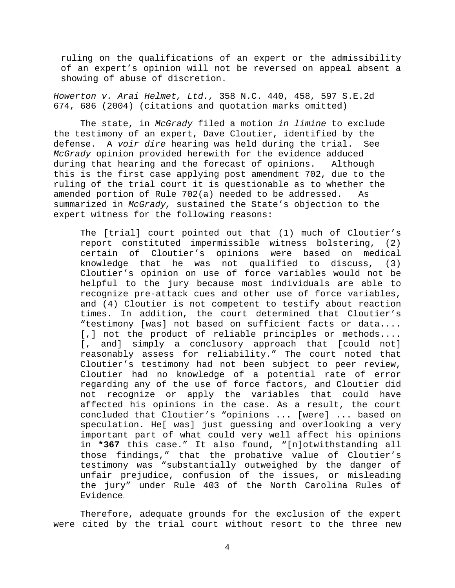ruling on the qualifications of an expert or the admissibility of an expert's opinion will not be reversed on appeal absent a showing of abuse of discretion.

*[Howerton v. Arai Helmet, Ltd.,](http://www.westlaw.com/Link/Document/FullText?findType=Y&serNum=2004630713&pubNum=711&originatingDoc=Idc5f9971828911e39ac8bab74931929c&refType=RP&fi=co_pp_sp_711_686&originationContext=document&vr=3.0&rs=cblt1.0&transitionType=DocumentItem&contextData=(sc.Default)#co_pp_sp_711_686)* 358 N.C. 440, 458, 597 S.E.2d [674, 686 \(2004\)](http://www.westlaw.com/Link/Document/FullText?findType=Y&serNum=2004630713&pubNum=711&originatingDoc=Idc5f9971828911e39ac8bab74931929c&refType=RP&fi=co_pp_sp_711_686&originationContext=document&vr=3.0&rs=cblt1.0&transitionType=DocumentItem&contextData=(sc.Default)#co_pp_sp_711_686) (citations and quotation marks omitted)

The state, in *McGrady* filed a motion *in limine* to exclude the testimony of an expert, Dave Cloutier, identified by the defense. A *voir dire* hearing was held during the trial. See *McGrady* opinion provided herewith for the evidence adduced during that hearing and the forecast of opinions. Although this is the first case applying post amendment 702, due to the ruling of the trial court it is questionable as to whether the<br>amended portion of Rule 702(a) needed to be addressed. As amended portion of Rule  $702(a)$  needed to be addressed. summarized in *McGrady,* sustained the State's objection to the expert witness for the following reasons:

The [trial] court pointed out that (1) much of Cloutier's report constituted impermissible witness bolstering, (2) certain of Cloutier's opinions were based on medical knowledge that he was not qualified to discuss, (3) Cloutier's opinion on use of force variables would not be helpful to the jury because most individuals are able to recognize pre-attack cues and other use of force variables, and (4) Cloutier is not competent to testify about reaction times. In addition, the court determined that Cloutier's "testimony [was] not based on sufficient facts or data.... [,] not the product of reliable principles or methods.... [, and] simply a conclusory approach that [could not] reasonably assess for reliability." The court noted that Cloutier's testimony had not been subject to peer review, Cloutier had no knowledge of a potential rate of error regarding any of the use of force factors, and Cloutier did not recognize or apply the variables that could have affected his opinions in the case. As a result, the court concluded that Cloutier's "opinions ... [were] ... based on speculation. He[ was] just guessing and overlooking a very important part of what could very well affect his opinions in **\*367** this case." It also found, "[n]otwithstanding all those findings," that the probative value of Cloutier's testimony was "substantially outweighed by the danger of unfair prejudice, confusion of the issues, or misleading the jury" under [Rule 403 of the North Carolina Rules of](http://www.westlaw.com/Link/Document/FullText?findType=L&pubNum=1000037&cite=NCSTEVS8C-1R403&originatingDoc=Idc5f9971828911e39ac8bab74931929c&refType=LQ&originationContext=document&vr=3.0&rs=cblt1.0&transitionType=DocumentItem&contextData=(sc.Default))  [Evidence](http://www.westlaw.com/Link/Document/FullText?findType=L&pubNum=1000037&cite=NCSTEVS8C-1R403&originatingDoc=Idc5f9971828911e39ac8bab74931929c&refType=LQ&originationContext=document&vr=3.0&rs=cblt1.0&transitionType=DocumentItem&contextData=(sc.Default)).

Therefore, adequate grounds for the exclusion of the expert were cited by the trial court without resort to the three new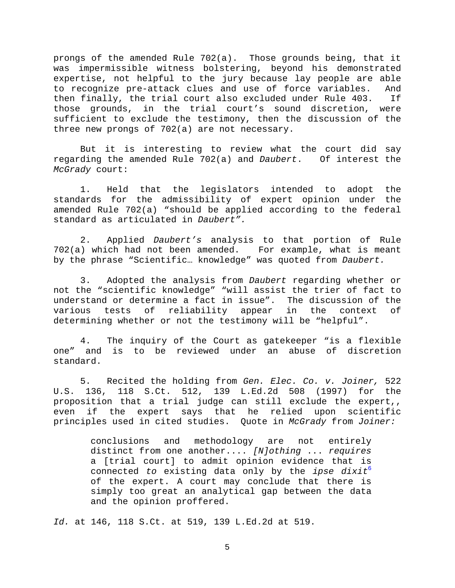prongs of the amended Rule 702(a). Those grounds being, that it was impermissible witness bolstering, beyond his demonstrated expertise, not helpful to the jury because lay people are able to recognize pre-attack clues and use of force variables. And<br>then finally, the trial court also excluded under Rule 403. If then finally, the trial court also excluded under Rule 403. those grounds, in the trial court's sound discretion, were sufficient to exclude the testimony, then the discussion of the three new prongs of 702(a) are not necessary.

But it is interesting to review what the court did say regarding the amended Rule 702(a) and *Daubert*. Of interest the *McGrady* court:

1. Held that the legislators intended to adopt the standards for the admissibility of expert opinion under the amended Rule 702(a) "should be applied according to the federal standard as articulated in *Daubert".*

2. Applied *Daubert's* analysis to that portion of Rule  $702(a)$  which had not been amended. by the phrase "Scientific… knowledge" was quoted from *Daubert.*

3. Adopted the analysis from *Daubert* regarding whether or not the "scientific knowledge" "will assist the trier of fact to understand or determine a fact in issue". The discussion of the<br>various tests of reliability appear in the context of tests of reliability appear in the context determining whether or not the testimony will be "helpful".

4. The inquiry of the Court as gatekeeper "is a flexible one" and is to be reviewed under an abuse of discretion standard.

5. Recited the holding from *[Gen. Elec. Co. v. Joiner,](http://www.westlaw.com/Link/Document/FullText?findType=Y&serNum=1997242413&pubNum=708&originatingDoc=Idc5f9971828911e39ac8bab74931929c&refType=RP&fi=co_pp_sp_708_519&originationContext=document&vr=3.0&rs=cblt1.0&transitionType=DocumentItem&contextData=(sc.Search)#co_pp_sp_708_519)* 522 U.S. 136, [118 S.Ct. 512, 139 L.Ed.2d 508 \(1997\)](http://www.westlaw.com/Link/Document/FullText?findType=Y&serNum=1997242413&pubNum=708&originatingDoc=Idc5f9971828911e39ac8bab74931929c&refType=RP&fi=co_pp_sp_708_519&originationContext=document&vr=3.0&rs=cblt1.0&transitionType=DocumentItem&contextData=(sc.Search)#co_pp_sp_708_519) for the proposition that a trial judge can still exclude the expert,,<br>even if the expert savs that he relied upon scientific if the expert says that he relied upon scientific principles used in cited studies. Quote in *McGrady* from *Joiner:*

> conclusions and methodology are not entirely distinct from one another.... *[N]othing* ... *requires* a [trial court] to admit opinion evidence that is connected *to* existing data only by the *ipse dixit*<sup>6</sup> of the expert. A court may conclude that there is simply too great an analytical gap between the data and the opinion proffered.

*Id.* [at 146, 118 S.Ct. at 519, 139 L.Ed.2d at 519.](http://www.westlaw.com/Link/Document/FullText?findType=Y&serNum=1997242413&pubNum=708&originatingDoc=Idc5f9971828911e39ac8bab74931929c&refType=RP&fi=co_pp_sp_708_519&originationContext=document&vr=3.0&rs=cblt1.0&transitionType=DocumentItem&contextData=(sc.Search)#co_pp_sp_708_519)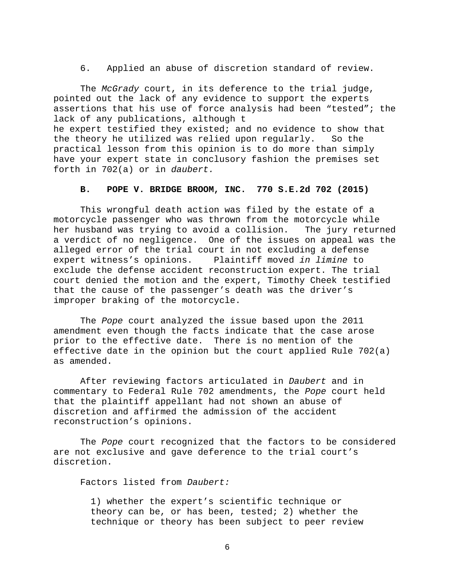6. Applied an abuse of discretion standard of review.

The *McGrady* court, in its deference to the trial judge, pointed out the lack of any evidence to support the experts assertions that his use of force analysis had been "tested"; the lack of any publications, although t he expert testified they existed; and no evidence to show that<br>the theory he utilized was relied upon regularly. So the the theory he utilized was relied upon regularly. practical lesson from this opinion is to do more than simply have your expert state in conclusory fashion the premises set forth in 702(a) or in *daubert.*

### **B. POPE V. BRIDGE BROOM, INC. 770 S.E.2d 702 (2015)**

This wrongful death action was filed by the estate of a motorcycle passenger who was thrown from the motorcycle while<br>her husband was trying to avoid a collision. The jury returned her husband was trying to avoid a collision. a verdict of no negligence. One of the issues on appeal was the alleged error of the trial court in not excluding a defense<br>expert witness's opinions. Plaintiff moved *in limine* to Plaintiff moved *in limine* to exclude the defense accident reconstruction expert. The trial court denied the motion and the expert, Timothy Cheek testified that the cause of the passenger's death was the driver's improper braking of the motorcycle.

The *Pope* court analyzed the issue based upon the 2011 amendment even though the facts indicate that the case arose prior to the effective date. There is no mention of the effective date in the opinion but the court applied Rule 702(a) as amended.

After reviewing factors articulated in *Daubert* and in commentary to Federal Rule 702 amendments, the *Pope* court held that the plaintiff appellant had not shown an abuse of discretion and affirmed the admission of the accident reconstruction's opinions.

The *Pope* court recognized that the factors to be considered are not exclusive and gave deference to the trial court's discretion.

Factors listed from *Daubert:*

1) whether the expert's scientific technique or theory can be, or has been, tested; 2) whether the technique or theory has been subject to peer review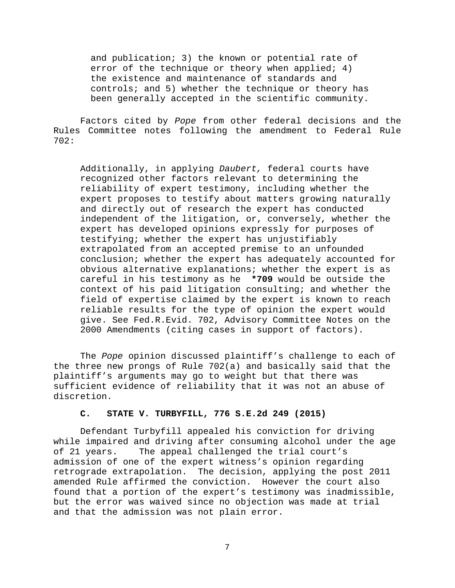and publication; 3) the known or potential rate of error of the technique or theory when applied; 4) the existence and maintenance of standards and controls; and 5) whether the technique or theory has been generally accepted in the scientific community.

Factors cited by *Pope* from other federal decisions and the Rules Committee notes following the amendment to Federal Rule 702:

Additionally, in applying *Daubert,* federal courts have recognized other factors relevant to determining the reliability of expert testimony, including whether the expert proposes to testify about matters growing naturally and directly out of research the expert has conducted independent of the litigation, or, conversely, whether the expert has developed opinions expressly for purposes of testifying; whether the expert has unjustifiably extrapolated from an accepted premise to an unfounded conclusion; whether the expert has adequately accounted for obvious alternative explanations; whether the expert is as careful in his testimony as he **\*709** would be outside the context of his paid litigation consulting; and whether the field of expertise claimed by the expert is known to reach reliable results for the type of opinion the expert would give. See [Fed.R.Evid. 702,](http://www.westlaw.com/Link/Document/FullText?findType=L&pubNum=1000607&cite=USFRER702&originatingDoc=I1088d5cedd5111e4b86bd602cb8781fa&refType=LQ&originationContext=document&vr=3.0&rs=cblt1.0&transitionType=DocumentItem&contextData=(sc.Keycite)) Advisory Committee Notes on the 2000 Amendments (citing cases in support of factors).

The *Pope* opinion discussed plaintiff's challenge to each of the three new prongs of Rule 702(a) and basically said that the plaintiff's arguments may go to weight but that there was sufficient evidence of reliability that it was not an abuse of discretion.

### **C. STATE V. TURBYFILL, 776 S.E.2d 249 (2015)**

Defendant Turbyfill appealed his conviction for driving while impaired and driving after consuming alcohol under the age of 21 years. The appeal challenged the trial court's admission of one of the expert witness's opinion regarding retrograde extrapolation. The decision, applying the post 2011 amended Rule affirmed the conviction. However the court also found that a portion of the expert's testimony was inadmissible, but the error was waived since no objection was made at trial and that the admission was not plain error.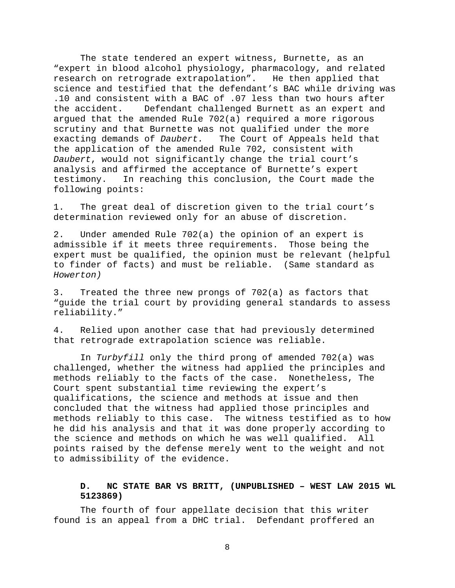The state tendered an expert witness, Burnette, as an "expert in blood alcohol physiology, pharmacology, and related research on retrograde extrapolation". science and testified that the defendant's BAC while driving was .10 and consistent with a BAC of .07 less than two hours after<br>the accident. Defendant challenged Burnett as an expert and Defendant challenged Burnett as an expert and argued that the amended Rule 702(a) required a more rigorous scrutiny and that Burnette was not qualified under the more exacting demands of *Daubert.* The Court of Appeals held that the application of the amended Rule 702, consistent with *Daubert*, would not significantly change the trial court's analysis and affirmed the acceptance of Burnette's expert<br>testimony. In reaching this conclusion, the Court made In reaching this conclusion, the Court made the following points:

1. The great deal of discretion given to the trial court's determination reviewed only for an abuse of discretion.

2. Under amended Rule 702(a) the opinion of an expert is admissible if it meets three requirements. Those being the expert must be qualified, the opinion must be relevant (helpful to finder of facts) and must be reliable. (Same standard as *Howerton)*

3. Treated the three new prongs of 702(a) as factors that "guide the trial court by providing general standards to assess reliability."

4. Relied upon another case that had previously determined that retrograde extrapolation science was reliable.

In *Turbyfill* only the third prong of amended 702(a) was challenged, whether the witness had applied the principles and methods reliably to the facts of the case. Nonetheless, The Court spent substantial time reviewing the expert's qualifications, the science and methods at issue and then concluded that the witness had applied those principles and methods reliably to this case. The witness testified as to how he did his analysis and that it was done properly according to the science and methods on which he was well qualified. All points raised by the defense merely went to the weight and not to admissibility of the evidence.

# **D. NC STATE BAR VS BRITT, (UNPUBLISHED – WEST LAW 2015 WL 5123869)**

The fourth of four appellate decision that this writer found is an appeal from a DHC trial. Defendant proffered an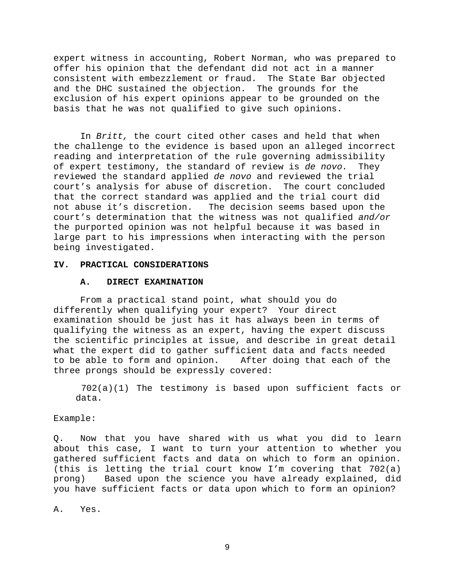expert witness in accounting, Robert Norman, who was prepared to offer his opinion that the defendant did not act in a manner<br>consistent with embezzlement or fraud. The State Bar objected consistent with embezzlement or fraud. and the DHC sustained the objection. The grounds for the exclusion of his expert opinions appear to be grounded on the basis that he was not qualified to give such opinions.

In *Britt,* the court cited other cases and held that when the challenge to the evidence is based upon an alleged incorrect reading and interpretation of the rule governing admissibility of expert testimony, the standard of review is *de novo.* They reviewed the standard applied *de novo* and reviewed the trial court's analysis for abuse of discretion. The court concluded that the correct standard was applied and the trial court did<br>not abuse it's discretion. The decision seems based upon the The decision seems based upon the court's determination that the witness was not qualified *and/or* the purported opinion was not helpful because it was based in large part to his impressions when interacting with the person being investigated.

#### **IV. PRACTICAL CONSIDERATIONS**

#### **A. DIRECT EXAMINATION**

From a practical stand point, what should you do differently when qualifying your expert? Your direct examination should be just has it has always been in terms of qualifying the witness as an expert, having the expert discuss the scientific principles at issue, and describe in great detail what the expert did to gather sufficient data and facts needed<br>to be able to form and opinion. After doing that each of the to be able to form and opinion. three prongs should be expressly covered:

702(a)(1) The testimony is based upon sufficient facts or data.

Example:

Q. Now that you have shared with us what you did to learn about this case, I want to turn your attention to whether you gathered sufficient facts and data on which to form an opinion. (this is letting the trial court know I'm covering that 702(a) prong) Based upon the science you have already explained, did you have sufficient facts or data upon which to form an opinion?

A. Yes.

9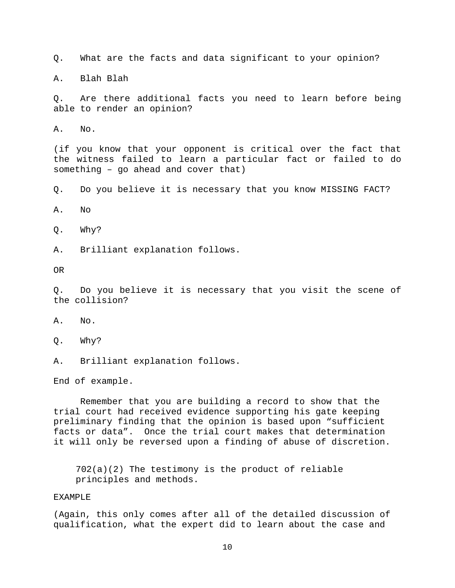Q. What are the facts and data significant to your opinion?

A. Blah Blah

Q. Are there additional facts you need to learn before being able to render an opinion?

A. No.

(if you know that your opponent is critical over the fact that the witness failed to learn a particular fact or failed to do something – go ahead and cover that)

Q. Do you believe it is necessary that you know MISSING FACT?

A. No

Q. Why?

A. Brilliant explanation follows.

OR

Q. Do you believe it is necessary that you visit the scene of the collision?

A. No.

Q. Why?

A. Brilliant explanation follows.

End of example.

Remember that you are building a record to show that the trial court had received evidence supporting his gate keeping preliminary finding that the opinion is based upon "sufficient facts or data". Once the trial court makes that determination it will only be reversed upon a finding of abuse of discretion.

702(a)(2) The testimony is the product of reliable principles and methods.

### EXAMPLE

(Again, this only comes after all of the detailed discussion of qualification, what the expert did to learn about the case and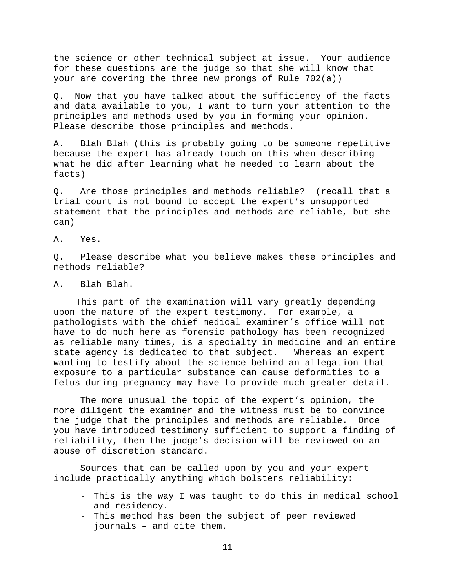the science or other technical subject at issue. Your audience for these questions are the judge so that she will know that your are covering the three new prongs of Rule 702(a))

Q. Now that you have talked about the sufficiency of the facts and data available to you, I want to turn your attention to the principles and methods used by you in forming your opinion. Please describe those principles and methods.

A. Blah Blah (this is probably going to be someone repetitive because the expert has already touch on this when describing what he did after learning what he needed to learn about the facts)

Q. Are those principles and methods reliable? (recall that a trial court is not bound to accept the expert's unsupported statement that the principles and methods are reliable, but she can)

A. Yes.

Q. Please describe what you believe makes these principles and methods reliable?

A. Blah Blah.

This part of the examination will vary greatly depending upon the nature of the expert testimony. For example, a pathologists with the chief medical examiner's office will not have to do much here as forensic pathology has been recognized as reliable many times, is a specialty in medicine and an entire state agency is dedicated to that subject. Whereas an expert wanting to testify about the science behind an allegation that exposure to a particular substance can cause deformities to a fetus during pregnancy may have to provide much greater detail.

The more unusual the topic of the expert's opinion, the more diligent the examiner and the witness must be to convince the judge that the principles and methods are reliable. Once you have introduced testimony sufficient to support a finding of reliability, then the judge's decision will be reviewed on an abuse of discretion standard.

Sources that can be called upon by you and your expert include practically anything which bolsters reliability:

- This is the way I was taught to do this in medical school and residency.
- This method has been the subject of peer reviewed journals – and cite them.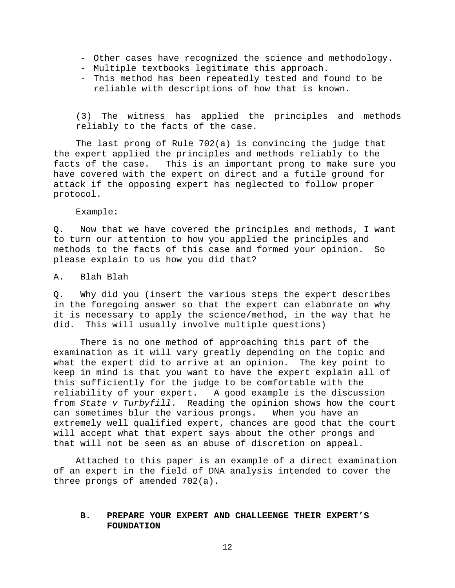- Other cases have recognized the science and methodology.
- Multiple textbooks legitimate this approach.
- This method has been repeatedly tested and found to be reliable with descriptions of how that is known.

(3) The witness has applied the principles and methods reliably to the facts of the case.

The last prong of Rule 702(a) is convincing the judge that the expert applied the principles and methods reliably to the<br>facts of the case. This is an important prong to make sure This is an important prong to make sure you have covered with the expert on direct and a futile ground for attack if the opposing expert has neglected to follow proper protocol.

Example:

Q. Now that we have covered the principles and methods, I want to turn our attention to how you applied the principles and methods to the facts of this case and formed your opinion. So please explain to us how you did that?

A. Blah Blah

Q. Why did you (insert the various steps the expert describes in the foregoing answer so that the expert can elaborate on why it is necessary to apply the science/method, in the way that he did. This will usually involve multiple questions)

There is no one method of approaching this part of the examination as it will vary greatly depending on the topic and what the expert did to arrive at an opinion. The key point to keep in mind is that you want to have the expert explain all of this sufficiently for the judge to be comfortable with the reliability of your expert. A good example is the discussion from *State v Turbyfill*. Reading the opinion shows how the court can sometimes blur the various prongs. When you have an extremely well qualified expert, chances are good that the court will accept what that expert says about the other prongs and that will not be seen as an abuse of discretion on appeal.

Attached to this paper is an example of a direct examination of an expert in the field of DNA analysis intended to cover the three prongs of amended 702(a).

## **B. PREPARE YOUR EXPERT AND CHALLEENGE THEIR EXPERT'S FOUNDATION**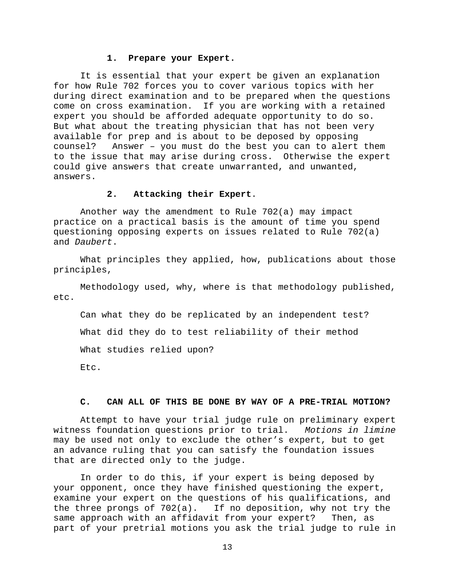### **1. Prepare your Expert.**

It is essential that your expert be given an explanation for how Rule 702 forces you to cover various topics with her during direct examination and to be prepared when the questions come on cross examination. If you are working with a retained expert you should be afforded adequate opportunity to do so. But what about the treating physician that has not been very available for prep and is about to be deposed by opposing counsel? Answer – you must do the best you can to alert them to the issue that may arise during cross. Otherwise the expert could give answers that create unwarranted, and unwanted, answers.

## **2. Attacking their Expert**.

Another way the amendment to Rule 702(a) may impact practice on a practical basis is the amount of time you spend questioning opposing experts on issues related to Rule 702(a) and *Daubert*.

What principles they applied, how, publications about those principles,

Methodology used, why, where is that methodology published, etc.

Can what they do be replicated by an independent test? What did they do to test reliability of their method What studies relied upon?

Etc.

#### **C. CAN ALL OF THIS BE DONE BY WAY OF A PRE-TRIAL MOTION?**

Attempt to have your trial judge rule on preliminary expert witness foundation questions prior to trial. *Motions in limine*  may be used not only to exclude the other's expert, but to get an advance ruling that you can satisfy the foundation issues that are directed only to the judge.

In order to do this, if your expert is being deposed by your opponent, once they have finished questioning the expert, examine your expert on the questions of his qualifications, and the three prongs of 702(a). If no deposition, why not try the same approach with an affidavit from your expert? Then, as part of your pretrial motions you ask the trial judge to rule in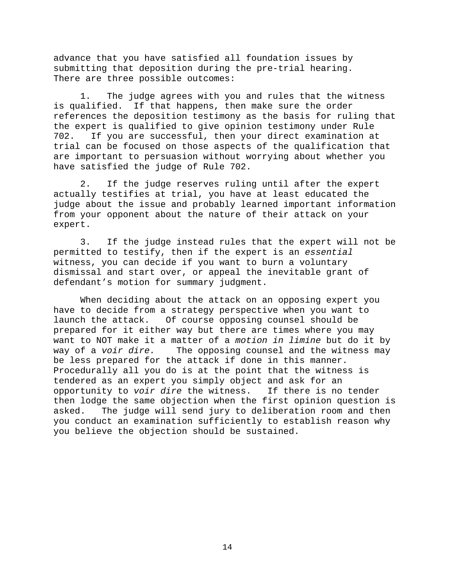advance that you have satisfied all foundation issues by submitting that deposition during the pre-trial hearing. There are three possible outcomes:

1. The judge agrees with you and rules that the witness is qualified. If that happens, then make sure the order references the deposition testimony as the basis for ruling that the expert is qualified to give opinion testimony under Rule<br>702. If you are successful, then your direct examination at If you are successful, then your direct examination at trial can be focused on those aspects of the qualification that are important to persuasion without worrying about whether you have satisfied the judge of Rule 702.

2. If the judge reserves ruling until after the expert actually testifies at trial, you have at least educated the judge about the issue and probably learned important information from your opponent about the nature of their attack on your expert.

3. If the judge instead rules that the expert will not be permitted to testify, then if the expert is an *essential*  witness, you can decide if you want to burn a voluntary dismissal and start over, or appeal the inevitable grant of defendant's motion for summary judgment.

When deciding about the attack on an opposing expert you have to decide from a strategy perspective when you want to<br>launch the attack. Of course opposing counsel should be Of course opposing counsel should be prepared for it either way but there are times where you may want to NOT make it a matter of a *motion in limine* but do it by The opposing counsel and the witness may be less prepared for the attack if done in this manner. Procedurally all you do is at the point that the witness is tendered as an expert you simply object and ask for an<br>opportunity to voir dire the witness. If there is no tender opportunity to *voir dire* the witness. then lodge the same objection when the first opinion question is<br>asked. The judge will send jury to deliberation room and then The judge will send jury to deliberation room and then you conduct an examination sufficiently to establish reason why you believe the objection should be sustained.

14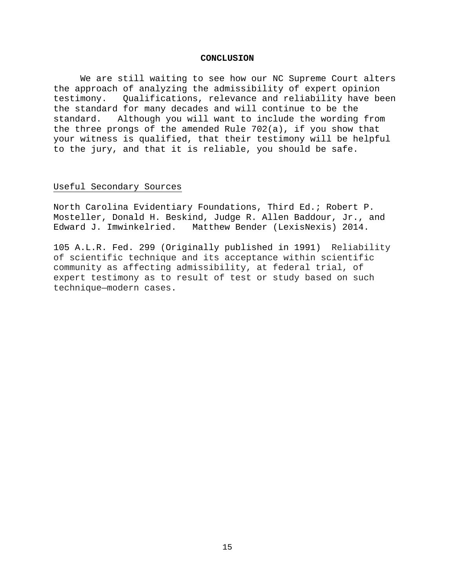#### **CONCLUSION**

We are still waiting to see how our NC Supreme Court alters the approach of analyzing the admissibility of expert opinion<br>testimony. Oualifications, relevance and reliability have be Qualifications, relevance and reliability have been the standard for many decades and will continue to be the standard. Although you will want to include the wording from the three prongs of the amended Rule 702(a), if you show that your witness is qualified, that their testimony will be helpful to the jury, and that it is reliable, you should be safe.

#### Useful Secondary Sources

North Carolina Evidentiary Foundations, Third Ed.; Robert P. Mosteller, Donald H. Beskind, Judge R. Allen Baddour, Jr., and<br>Edward J. Imwinkelried. Matthew Bender (LexisNexis) 2014. Matthew Bender (LexisNexis) 2014.

105 A.L.R. Fed. 299 (Originally published in 1991) Reliability of scientific technique and its acceptance within scientific community as affecting admissibility, at federal trial, of expert testimony as to result of test or study based on such technique—modern cases.